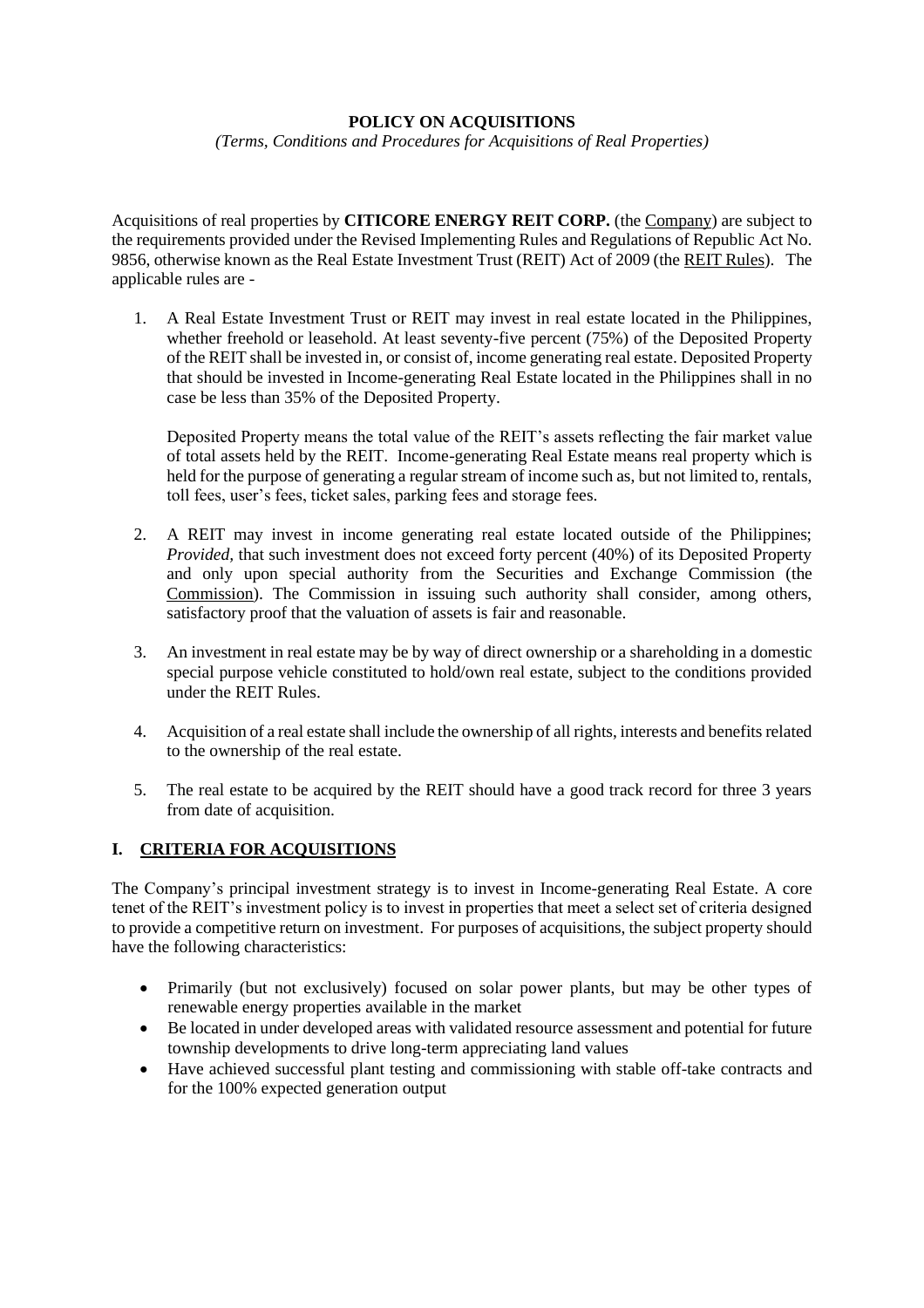### **POLICY ON ACQUISITIONS**

*(Terms, Conditions and Procedures for Acquisitions of Real Properties)*

Acquisitions of real properties by **CITICORE ENERGY REIT CORP.** (the Company) are subject to the requirements provided under the Revised Implementing Rules and Regulations of Republic Act No. 9856, otherwise known as the Real Estate Investment Trust (REIT) Act of 2009 (the REIT Rules). The applicable rules are -

1. A Real Estate Investment Trust or REIT may invest in real estate located in the Philippines, whether freehold or leasehold. At least seventy-five percent (75%) of the Deposited Property of the REIT shall be invested in, or consist of, income generating real estate. Deposited Property that should be invested in Income-generating Real Estate located in the Philippines shall in no case be less than 35% of the Deposited Property.

Deposited Property means the total value of the REIT's assets reflecting the fair market value of total assets held by the REIT. Income-generating Real Estate means real property which is held for the purpose of generating a regular stream of income such as, but not limited to, rentals, toll fees, user's fees, ticket sales, parking fees and storage fees.

- 2. A REIT may invest in income generating real estate located outside of the Philippines; *Provided,* that such investment does not exceed forty percent (40%) of its Deposited Property and only upon special authority from the Securities and Exchange Commission (the Commission). The Commission in issuing such authority shall consider, among others, satisfactory proof that the valuation of assets is fair and reasonable.
- 3. An investment in real estate may be by way of direct ownership or a shareholding in a domestic special purpose vehicle constituted to hold/own real estate, subject to the conditions provided under the REIT Rules.
- 4. Acquisition of a real estate shall include the ownership of all rights, interests and benefits related to the ownership of the real estate.
- 5. The real estate to be acquired by the REIT should have a good track record for three 3 years from date of acquisition.

## **I. CRITERIA FOR ACQUISITIONS**

The Company's principal investment strategy is to invest in Income-generating Real Estate. A core tenet of the REIT's investment policy is to invest in properties that meet a select set of criteria designed to provide a competitive return on investment. For purposes of acquisitions, the subject property should have the following characteristics:

- Primarily (but not exclusively) focused on solar power plants, but may be other types of renewable energy properties available in the market
- Be located in under developed areas with validated resource assessment and potential for future township developments to drive long-term appreciating land values
- Have achieved successful plant testing and commissioning with stable off-take contracts and for the 100% expected generation output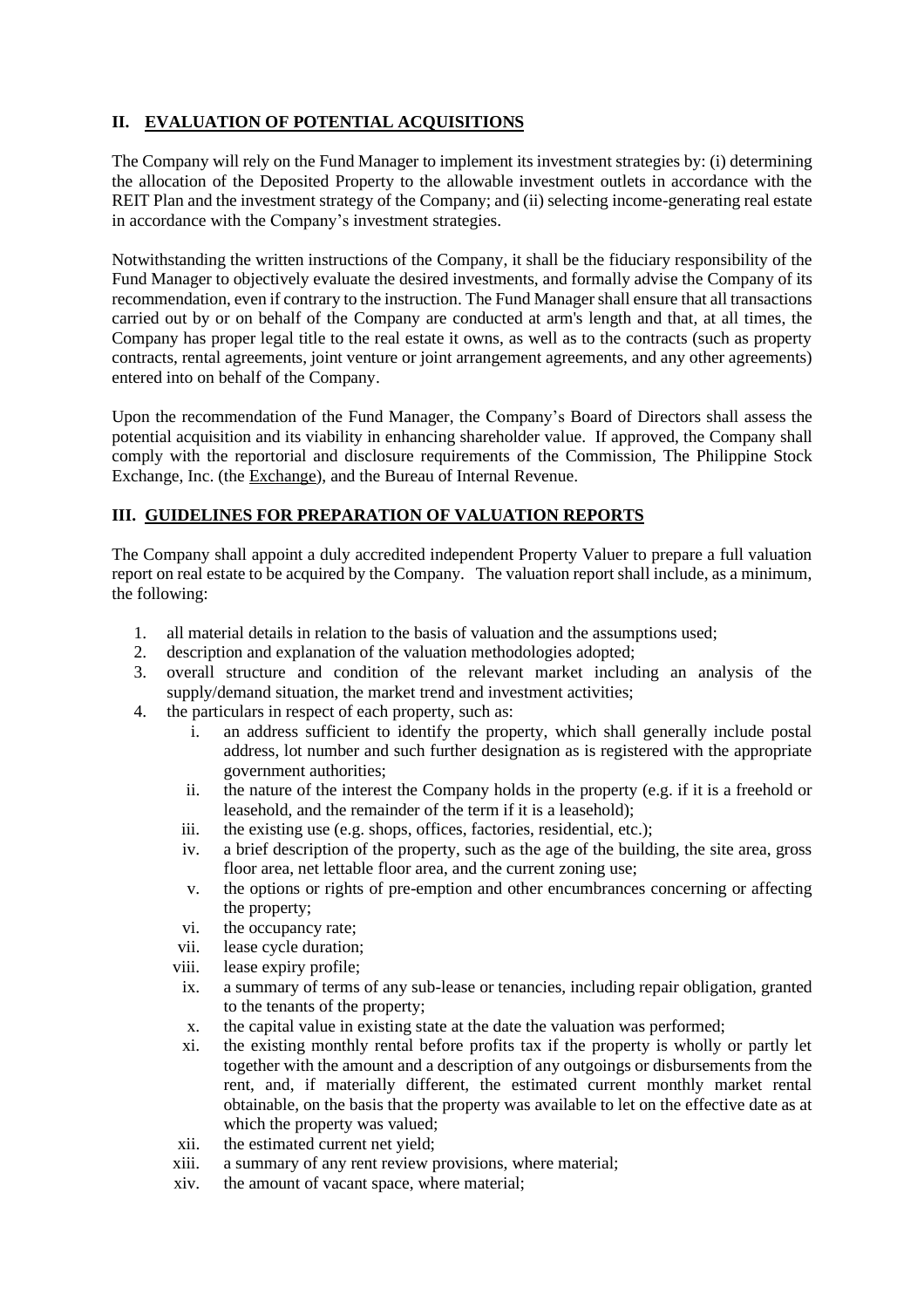# **II. EVALUATION OF POTENTIAL ACQUISITIONS**

The Company will rely on the Fund Manager to implement its investment strategies by: (i) determining the allocation of the Deposited Property to the allowable investment outlets in accordance with the REIT Plan and the investment strategy of the Company; and (ii) selecting income-generating real estate in accordance with the Company's investment strategies.

Notwithstanding the written instructions of the Company, it shall be the fiduciary responsibility of the Fund Manager to objectively evaluate the desired investments, and formally advise the Company of its recommendation, even if contrary to the instruction. The Fund Manager shall ensure that all transactions carried out by or on behalf of the Company are conducted at arm's length and that, at all times, the Company has proper legal title to the real estate it owns, as well as to the contracts (such as property contracts, rental agreements, joint venture or joint arrangement agreements, and any other agreements) entered into on behalf of the Company.

Upon the recommendation of the Fund Manager, the Company's Board of Directors shall assess the potential acquisition and its viability in enhancing shareholder value. If approved, the Company shall comply with the reportorial and disclosure requirements of the Commission, The Philippine Stock Exchange, Inc. (the Exchange), and the Bureau of Internal Revenue.

## **III. GUIDELINES FOR PREPARATION OF VALUATION REPORTS**

The Company shall appoint a duly accredited independent Property Valuer to prepare a full valuation report on real estate to be acquired by the Company. The valuation report shall include, as a minimum, the following:

- 1. all material details in relation to the basis of valuation and the assumptions used;
- 2. description and explanation of the valuation methodologies adopted;
- 3. overall structure and condition of the relevant market including an analysis of the supply/demand situation, the market trend and investment activities;
- 4. the particulars in respect of each property, such as:
	- i. an address sufficient to identify the property, which shall generally include postal address, lot number and such further designation as is registered with the appropriate government authorities;
	- ii. the nature of the interest the Company holds in the property (e.g. if it is a freehold or leasehold, and the remainder of the term if it is a leasehold);
	- iii. the existing use (e.g. shops, offices, factories, residential, etc.);
	- iv. a brief description of the property, such as the age of the building, the site area, gross floor area, net lettable floor area, and the current zoning use;
	- v. the options or rights of pre-emption and other encumbrances concerning or affecting the property;
	- vi. the occupancy rate;
	- vii. lease cycle duration;
	- viii. lease expiry profile;
	- ix. a summary of terms of any sub-lease or tenancies, including repair obligation, granted to the tenants of the property;
	- x. the capital value in existing state at the date the valuation was performed;
	- xi. the existing monthly rental before profits tax if the property is wholly or partly let together with the amount and a description of any outgoings or disbursements from the rent, and, if materially different, the estimated current monthly market rental obtainable, on the basis that the property was available to let on the effective date as at which the property was valued;
	- xii. the estimated current net yield;
	- xiii. a summary of any rent review provisions, where material;
	- xiv. the amount of vacant space, where material;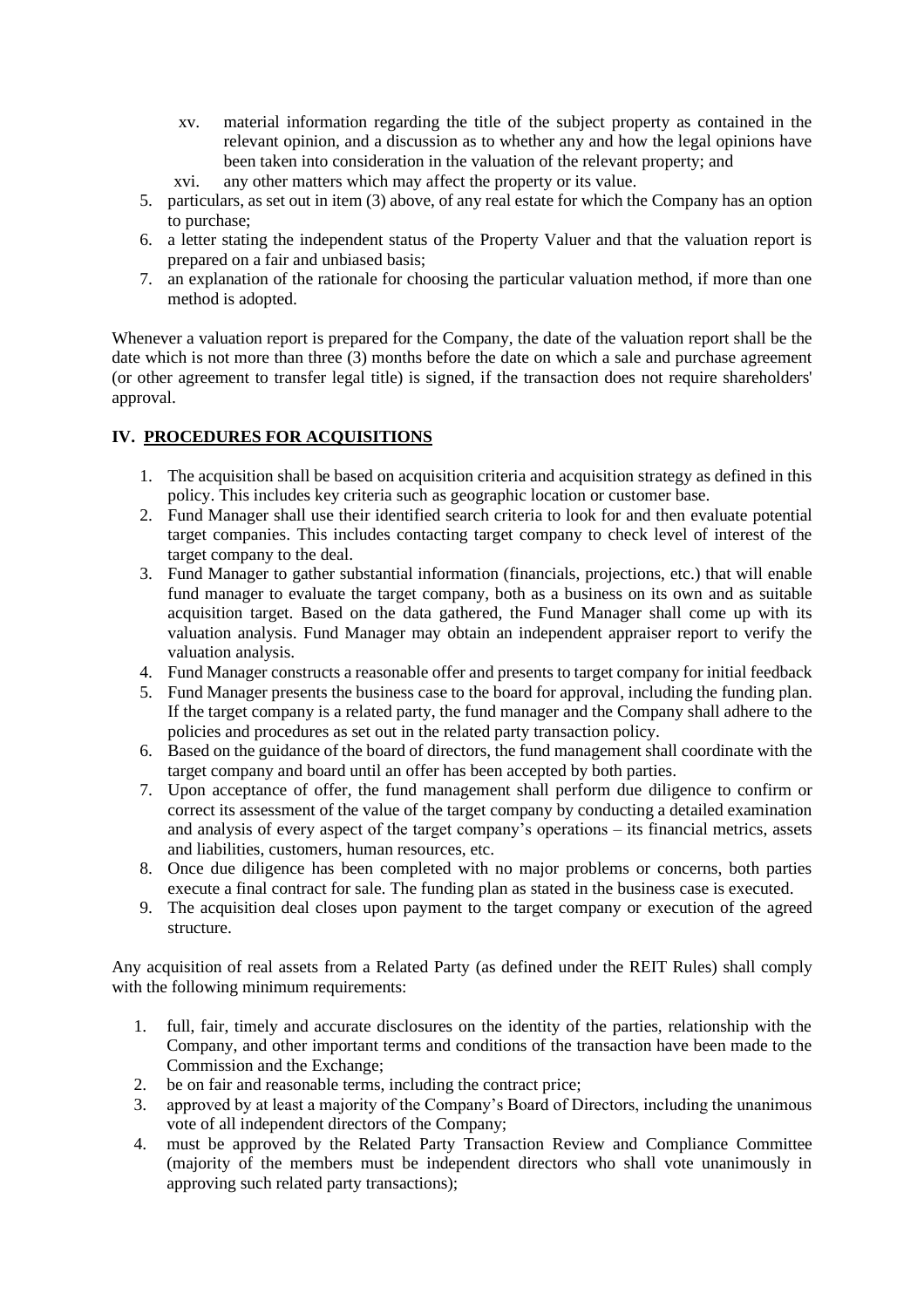- xv. material information regarding the title of the subject property as contained in the relevant opinion, and a discussion as to whether any and how the legal opinions have been taken into consideration in the valuation of the relevant property; and
- xvi. any other matters which may affect the property or its value.
- 5. particulars, as set out in item (3) above, of any real estate for which the Company has an option to purchase;
- 6. a letter stating the independent status of the Property Valuer and that the valuation report is prepared on a fair and unbiased basis;
- 7. an explanation of the rationale for choosing the particular valuation method, if more than one method is adopted.

Whenever a valuation report is prepared for the Company, the date of the valuation report shall be the date which is not more than three (3) months before the date on which a sale and purchase agreement (or other agreement to transfer legal title) is signed, if the transaction does not require shareholders' approval.

## **IV. PROCEDURES FOR ACQUISITIONS**

- 1. The acquisition shall be based on acquisition criteria and acquisition strategy as defined in this policy. This includes key criteria such as geographic location or customer base.
- 2. Fund Manager shall use their identified search criteria to look for and then evaluate potential target companies. This includes contacting target company to check level of interest of the target company to the deal.
- 3. Fund Manager to gather substantial information (financials, projections, etc.) that will enable fund manager to evaluate the target company, both as a business on its own and as suitable acquisition target. Based on the data gathered, the Fund Manager shall come up with its valuation analysis. Fund Manager may obtain an independent appraiser report to verify the valuation analysis.
- 4. Fund Manager constructs a reasonable offer and presents to target company for initial feedback
- 5. Fund Manager presents the business case to the board for approval, including the funding plan. If the target company is a related party, the fund manager and the Company shall adhere to the policies and procedures as set out in the related party transaction policy.
- 6. Based on the guidance of the board of directors, the fund management shall coordinate with the target company and board until an offer has been accepted by both parties.
- 7. Upon acceptance of offer, the fund management shall perform due diligence to confirm or correct its assessment of the value of the target company by conducting a detailed examination and analysis of every aspect of the target company's operations – its financial metrics, assets and liabilities, customers, human resources, etc.
- 8. Once due diligence has been completed with no major problems or concerns, both parties execute a final contract for sale. The funding plan as stated in the business case is executed.
- 9. The acquisition deal closes upon payment to the target company or execution of the agreed structure.

Any acquisition of real assets from a Related Party (as defined under the REIT Rules) shall comply with the following minimum requirements:

- 1. full, fair, timely and accurate disclosures on the identity of the parties, relationship with the Company, and other important terms and conditions of the transaction have been made to the Commission and the Exchange;
- 2. be on fair and reasonable terms, including the contract price;
- 3. approved by at least a majority of the Company's Board of Directors, including the unanimous vote of all independent directors of the Company;
- 4. must be approved by the Related Party Transaction Review and Compliance Committee (majority of the members must be independent directors who shall vote unanimously in approving such related party transactions);